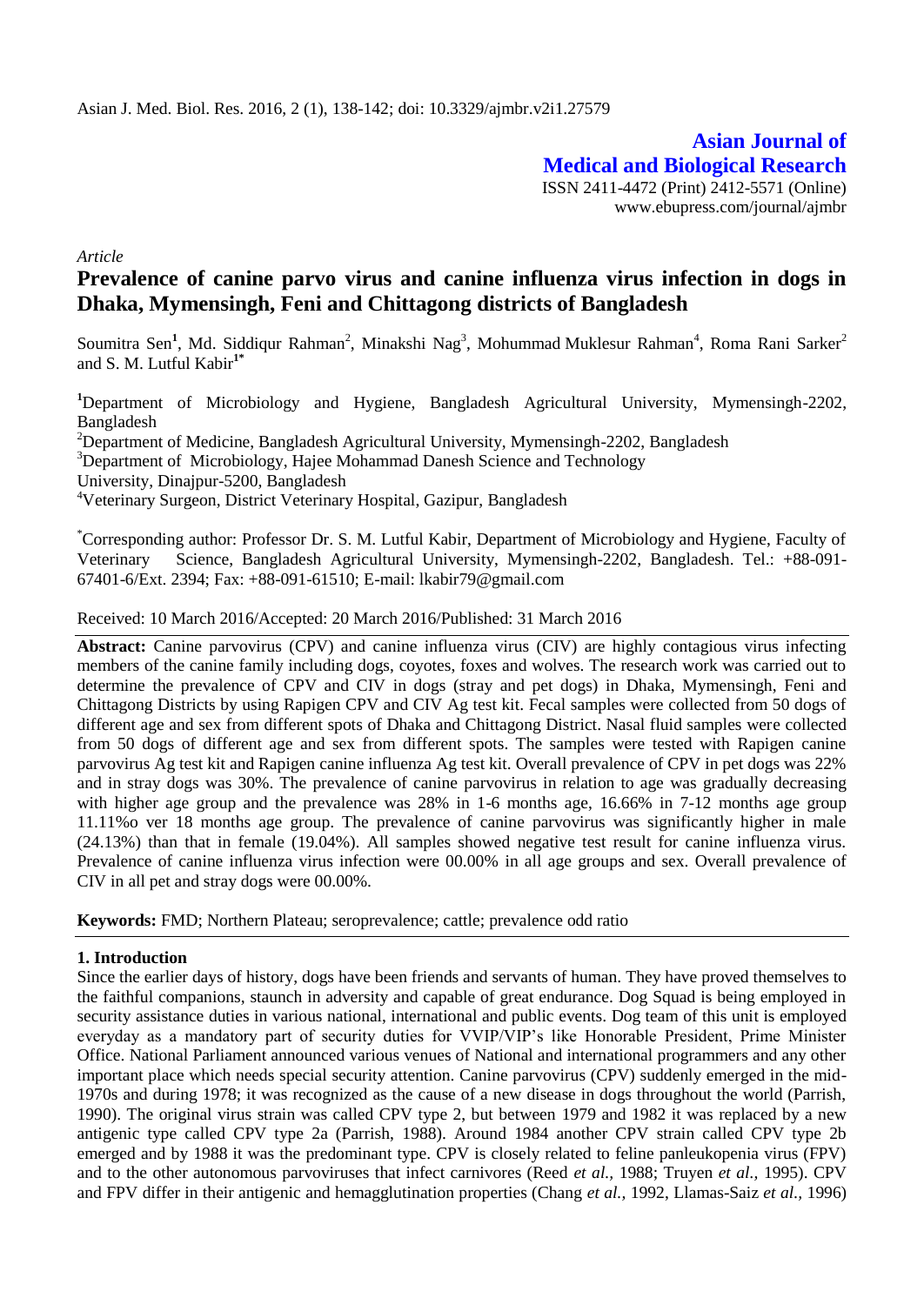**Asian Journal of Medical and Biological Research** ISSN 2411-4472 (Print) 2412-5571 (Online) www.ebupress.com/journal/ajmbr

*Article*

# **Prevalence of canine parvo virus and canine influenza virus infection in dogs in Dhaka, Mymensingh, Feni and Chittagong districts of Bangladesh**

Soumitra Sen<sup>1</sup>, Md. Siddiqur Rahman<sup>2</sup>, Minakshi Nag<sup>3</sup>, Mohummad Muklesur Rahman<sup>4</sup>, Roma Rani Sarker<sup>2</sup> and S. M. Lutful Kabir**1\***

**<sup>1</sup>**Department of Microbiology and Hygiene, Bangladesh Agricultural University, Mymensingh-2202, Bangladesh

<sup>2</sup>Department of Medicine, Bangladesh Agricultural University, Mymensingh-2202, Bangladesh

<sup>3</sup>Department of Microbiology, Hajee Mohammad Danesh Science and Technology

University, Dinajpur-5200, Bangladesh

<sup>4</sup>Veterinary Surgeon, District Veterinary Hospital, Gazipur, Bangladesh

\*Corresponding author: Professor Dr. S. M. Lutful Kabir, Department of Microbiology and Hygiene, Faculty of Veterinary Science, Bangladesh Agricultural University, Mymensingh-2202, Bangladesh. Tel.: +88-091- 67401-6/Ext. 2394; Fax: +88-091-61510; E-mail: lkabir79@gmail.com

Received: 10 March 2016/Accepted: 20 March 2016/Published: 31 March 2016

**Abstract:** Canine parvovirus (CPV) and canine influenza virus (CIV) are highly contagious virus infecting members of the canine family including dogs, coyotes, foxes and wolves. The research work was carried out to determine the prevalence of CPV and CIV in dogs (stray and pet dogs) in Dhaka, Mymensingh, Feni and Chittagong Districts by using Rapigen CPV and CIV Ag test kit. Fecal samples were collected from 50 dogs of different age and sex from different spots of Dhaka and Chittagong District. Nasal fluid samples were collected from 50 dogs of different age and sex from different spots. The samples were tested with Rapigen canine parvovirus Ag test kit and Rapigen canine influenza Ag test kit. Overall prevalence of CPV in pet dogs was 22% and in stray dogs was 30%. The prevalence of canine parvovirus in relation to age was gradually decreasing with higher age group and the prevalence was 28% in 1-6 months age, 16.66% in 7-12 months age group 11.11%o ver 18 months age group. The prevalence of canine parvovirus was significantly higher in male (24.13%) than that in female (19.04%). All samples showed negative test result for canine influenza virus. Prevalence of canine influenza virus infection were 00.00% in all age groups and sex. Overall prevalence of CIV in all pet and stray dogs were 00.00%.

**Keywords:** FMD; Northern Plateau; seroprevalence; cattle; prevalence odd ratio

### **1. Introduction**

Since the earlier days of history, dogs have been friends and servants of human. They have proved themselves to the faithful companions, staunch in adversity and capable of great endurance. Dog Squad is being employed in security assistance duties in various national, international and public events. Dog team of this unit is employed everyday as a mandatory part of security duties for VVIP/VIP's like Honorable President, Prime Minister Office. National Parliament announced various venues of National and international programmers and any other important place which needs special security attention. Canine parvovirus (CPV) suddenly emerged in the mid-1970s and during 1978; it was recognized as the cause of a new disease in dogs throughout the world (Parrish, 1990). The original virus strain was called CPV type 2, but between 1979 and 1982 it was replaced by a new antigenic type called CPV type 2a (Parrish, 1988). Around 1984 another CPV strain called CPV type 2b emerged and by 1988 it was the predominant type. CPV is closely related to feline panleukopenia virus (FPV) and to the other autonomous parvoviruses that infect carnivores (Reed *et al.,* 1988; Truyen *et al.,* 1995). CPV and FPV differ in their antigenic and hemagglutination properties (Chang *et al.,* 1992, Llamas-Saiz *et al.,* 1996)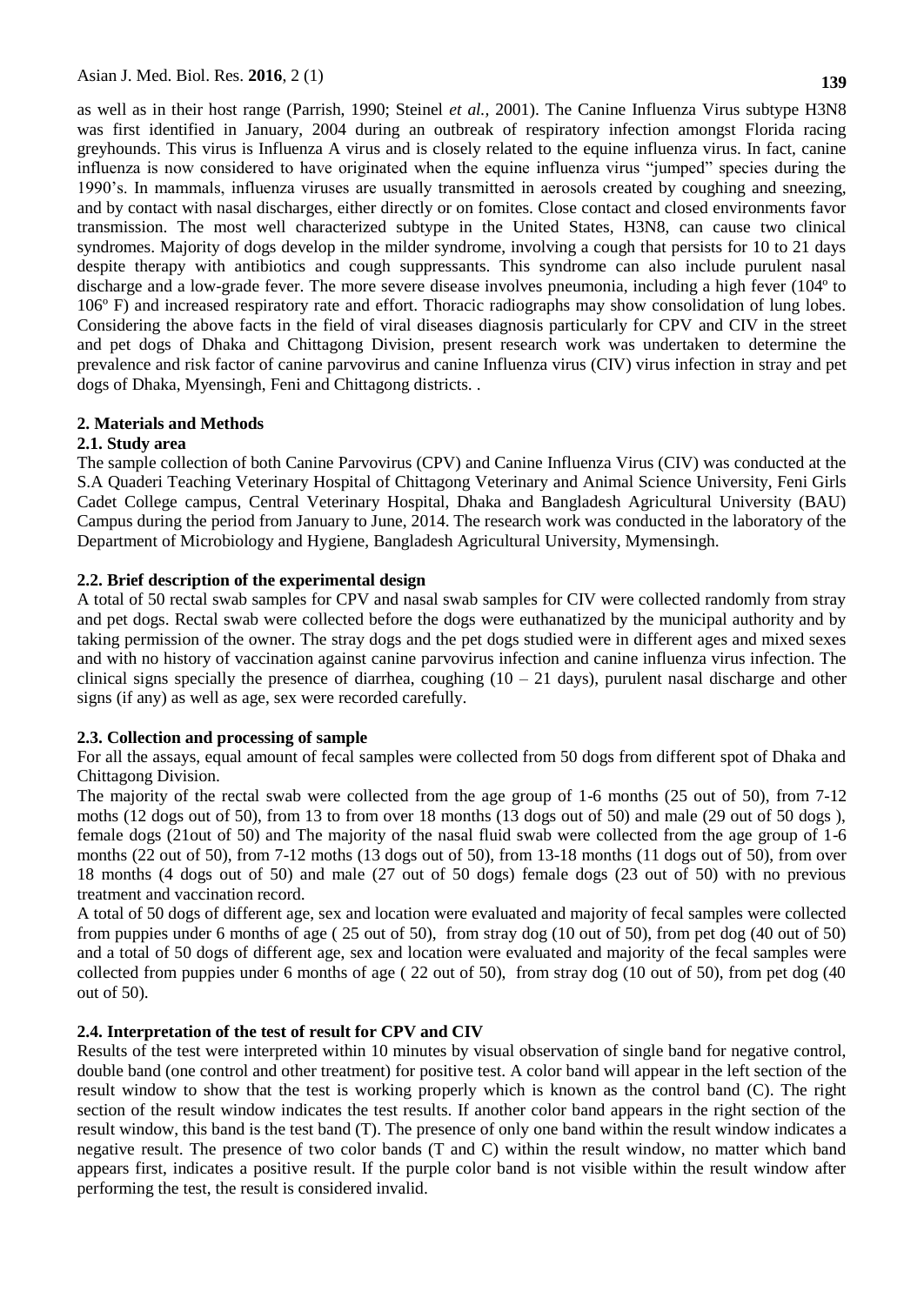as well as in their host range (Parrish, 1990; Steinel *et al.,* 2001). The Canine Influenza Virus subtype H3N8 was first identified in January, 2004 during an outbreak of respiratory infection amongst Florida racing greyhounds. This virus is Influenza A virus and is closely related to the equine influenza virus. In fact, canine influenza is now considered to have originated when the equine influenza virus "jumped" species during the 1990's. In mammals, influenza viruses are usually transmitted in aerosols created by coughing and sneezing, and by contact with nasal discharges, either directly or on fomites. Close contact and closed environments favor transmission. The most well characterized subtype in the United States, H3N8, can cause two clinical syndromes. Majority of dogs develop in the milder syndrome, involving a cough that persists for 10 to 21 days despite therapy with antibiotics and cough suppressants. This syndrome can also include purulent nasal discharge and a low-grade fever. The more severe disease involves pneumonia, including a high fever (104º to 106º F) and increased respiratory rate and effort. Thoracic radiographs may show consolidation of lung lobes. Considering the above facts in the field of viral diseases diagnosis particularly for CPV and CIV in the street and pet dogs of Dhaka and Chittagong Division, present research work was undertaken to determine the prevalence and risk factor of canine parvovirus and canine Influenza virus (CIV) virus infection in stray and pet dogs of Dhaka, Myensingh, Feni and Chittagong districts. .

#### **2. Materials and Methods**

#### **2.1. Study area**

The sample collection of both Canine Parvovirus (CPV) and Canine Influenza Virus (CIV) was conducted at the S.A Quaderi Teaching Veterinary Hospital of Chittagong Veterinary and Animal Science University, Feni Girls Cadet College campus, Central Veterinary Hospital, Dhaka and Bangladesh Agricultural University (BAU) Campus during the period from January to June, 2014. The research work was conducted in the laboratory of the Department of Microbiology and Hygiene, Bangladesh Agricultural University, Mymensingh.

#### **2.2. Brief description of the experimental design**

A total of 50 rectal swab samples for CPV and nasal swab samples for CIV were collected randomly from stray and pet dogs. Rectal swab were collected before the dogs were euthanatized by the municipal authority and by taking permission of the owner. The stray dogs and the pet dogs studied were in different ages and mixed sexes and with no history of vaccination against canine parvovirus infection and canine influenza virus infection. The clinical signs specially the presence of diarrhea, coughing  $(10 - 21)$  days), purulent nasal discharge and other signs (if any) as well as age, sex were recorded carefully.

#### **2.3. Collection and processing of sample**

For all the assays, equal amount of fecal samples were collected from 50 dogs from different spot of Dhaka and Chittagong Division.

The majority of the rectal swab were collected from the age group of 1-6 months (25 out of 50), from 7-12 moths (12 dogs out of 50), from 13 to from over 18 months (13 dogs out of 50) and male (29 out of 50 dogs ), female dogs (21out of 50) and The majority of the nasal fluid swab were collected from the age group of 1-6 months (22 out of 50), from 7-12 moths (13 dogs out of 50), from 13-18 months (11 dogs out of 50), from over 18 months (4 dogs out of 50) and male (27 out of 50 dogs) female dogs (23 out of 50) with no previous treatment and vaccination record.

A total of 50 dogs of different age, sex and location were evaluated and majority of fecal samples were collected from puppies under 6 months of age ( 25 out of 50), from stray dog (10 out of 50), from pet dog (40 out of 50) and a total of 50 dogs of different age, sex and location were evaluated and majority of the fecal samples were collected from puppies under 6 months of age ( 22 out of 50), from stray dog (10 out of 50), from pet dog (40 out of 50).

## **2.4. Interpretation of the test of result for CPV and CIV**

Results of the test were interpreted within 10 minutes by visual observation of single band for negative control, double band (one control and other treatment) for positive test. A color band will appear in the left section of the result window to show that the test is working properly which is known as the control band (C). The right section of the result window indicates the test results. If another color band appears in the right section of the result window, this band is the test band (T). The presence of only one band within the result window indicates a negative result. The presence of two color bands (T and C) within the result window, no matter which band appears first, indicates a positive result. If the purple color band is not visible within the result window after performing the test, the result is considered invalid.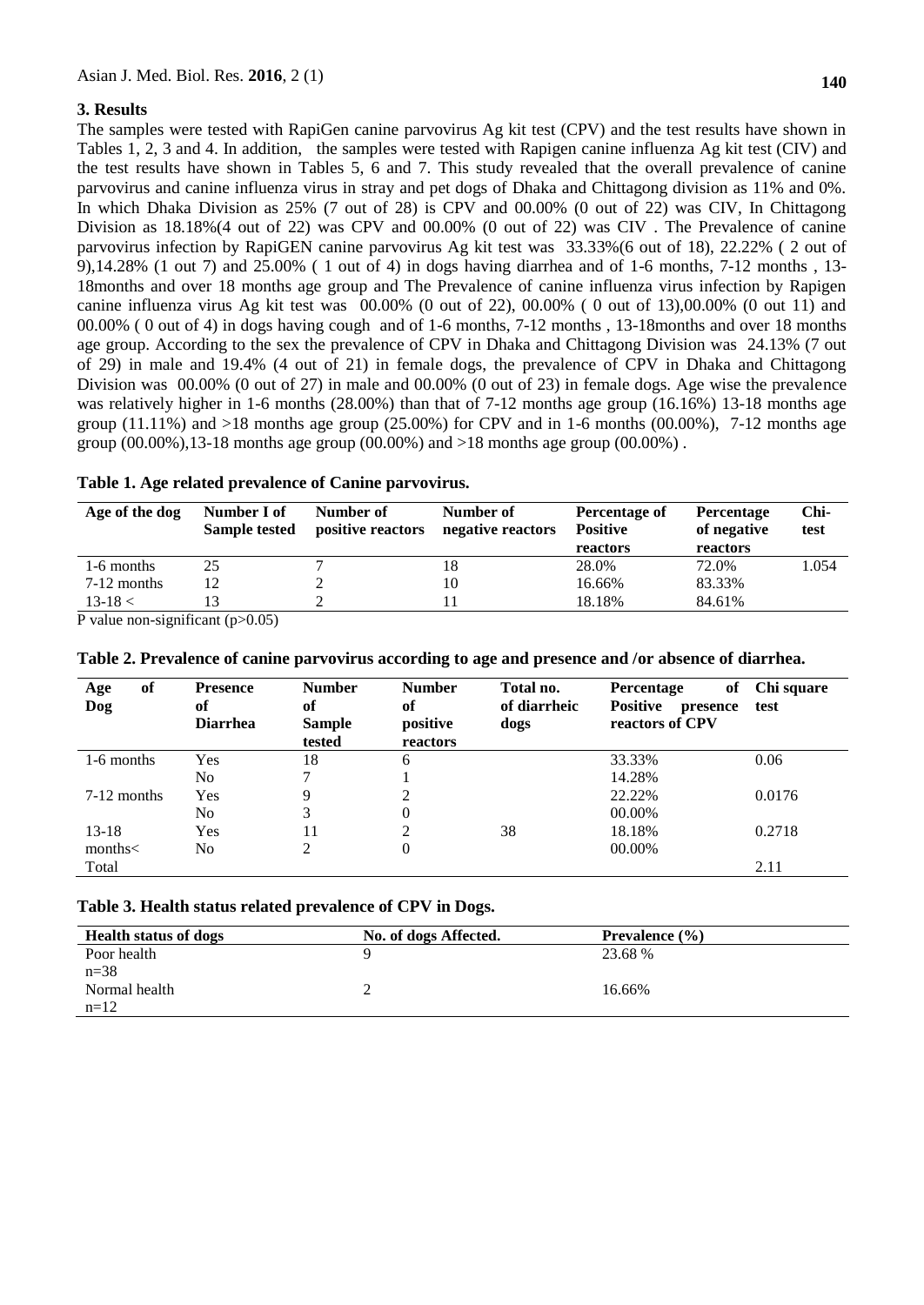## **3. Results**

The samples were tested with RapiGen canine parvovirus Ag kit test (CPV) and the test results have shown in Tables 1, 2, 3 and 4. In addition, the samples were tested with Rapigen canine influenza Ag kit test (CIV) and the test results have shown in Tables 5, 6 and 7. This study revealed that the overall prevalence of canine parvovirus and canine influenza virus in stray and pet dogs of Dhaka and Chittagong division as 11% and 0%. In which Dhaka Division as 25% (7 out of 28) is CPV and 00.00% (0 out of 22) was CIV, In Chittagong Division as 18.18%(4 out of 22) was CPV and 00.00% (0 out of 22) was CIV . The Prevalence of canine parvovirus infection by RapiGEN canine parvovirus Ag kit test was 33.33%(6 out of 18), 22.22% ( 2 out of 9),14.28% (1 out 7) and 25.00% ( 1 out of 4) in dogs having diarrhea and of 1-6 months, 7-12 months , 13- 18months and over 18 months age group and The Prevalence of canine influenza virus infection by Rapigen canine influenza virus Ag kit test was 00.00% (0 out of 22), 00.00% ( 0 out of 13),00.00% (0 out 11) and 00.00% ( 0 out of 4) in dogs having cough and of 1-6 months, 7-12 months , 13-18months and over 18 months age group. According to the sex the prevalence of CPV in Dhaka and Chittagong Division was 24.13% (7 out of 29) in male and 19.4% (4 out of 21) in female dogs, the prevalence of CPV in Dhaka and Chittagong Division was 00.00% (0 out of 27) in male and 00.00% (0 out of 23) in female dogs. Age wise the prevalence was relatively higher in 1-6 months (28.00%) than that of 7-12 months age group (16.16%) 13-18 months age group  $(11.11\%)$  and  $>18$  months age group  $(25.00\%)$  for CPV and in 1-6 months  $(00.00\%)$ , 7-12 months age group  $(00.00\%)$ , 13-18 months age group  $(00.00\%)$  and  $>18$  months age group  $(00.00\%)$ .

| Age of the dog | Number I of<br>Sample tested | Number of<br>positive reactors | Number of<br>negative reactors | Percentage of<br><b>Positive</b><br>reactors | Percentage<br>of negative<br>reactors | Chi-<br>test |
|----------------|------------------------------|--------------------------------|--------------------------------|----------------------------------------------|---------------------------------------|--------------|
| 1-6 months     | 25                           |                                | 18                             | 28.0%                                        | 72.0%                                 | 1.054        |
| $7-12$ months  |                              |                                | 10                             | 16.66%                                       | 83.33%                                |              |
| $13 - 18 <$    |                              |                                |                                | 18.18%                                       | 84.61%                                |              |

**Table 1. Age related prevalence of Canine parvovirus.**

P value non-significant (p>0.05)

| of<br>Age<br>Dog | <b>Presence</b><br>of<br><b>Diarrhea</b> | <b>Number</b><br>of<br><b>Sample</b><br>tested | <b>Number</b><br>of<br>positive<br>reactors | Total no.<br>of diarrheic<br>dogs | of<br>Percentage<br><b>Positive</b><br>presence<br>reactors of CPV | Chi square<br>test |
|------------------|------------------------------------------|------------------------------------------------|---------------------------------------------|-----------------------------------|--------------------------------------------------------------------|--------------------|
| 1-6 months       | Yes                                      | 18                                             | 6                                           |                                   | 33.33%                                                             | 0.06               |
|                  | No                                       | $\mathcal{I}$                                  |                                             |                                   | 14.28%                                                             |                    |
| $7-12$ months    | Yes                                      | 9                                              | 2                                           |                                   | 22.22%                                                             | 0.0176             |
|                  | No                                       | 3                                              | 0                                           |                                   | 00.00%                                                             |                    |
| $13 - 18$        | Yes                                      | 11                                             | 2                                           | 38                                | 18.18%                                                             | 0.2718             |
| months <         | No                                       | 2                                              | 0                                           |                                   | 00.00%                                                             |                    |
| Total            |                                          |                                                |                                             |                                   |                                                                    | 2.11               |

|  |  |  | Table 2. Prevalence of canine parvovirus according to age and presence and /or absence of diarrhea. |  |  |
|--|--|--|-----------------------------------------------------------------------------------------------------|--|--|
|  |  |  |                                                                                                     |  |  |

#### **Table 3. Health status related prevalence of CPV in Dogs.**

| <b>Health status of dogs</b> | No. of dogs Affected. | Prevalence $(\% )$ |  |
|------------------------------|-----------------------|--------------------|--|
| Poor health                  |                       | 23.68 %            |  |
| $n = 38$                     |                       |                    |  |
| Normal health                |                       | 16.66%             |  |
| $n=12$                       |                       |                    |  |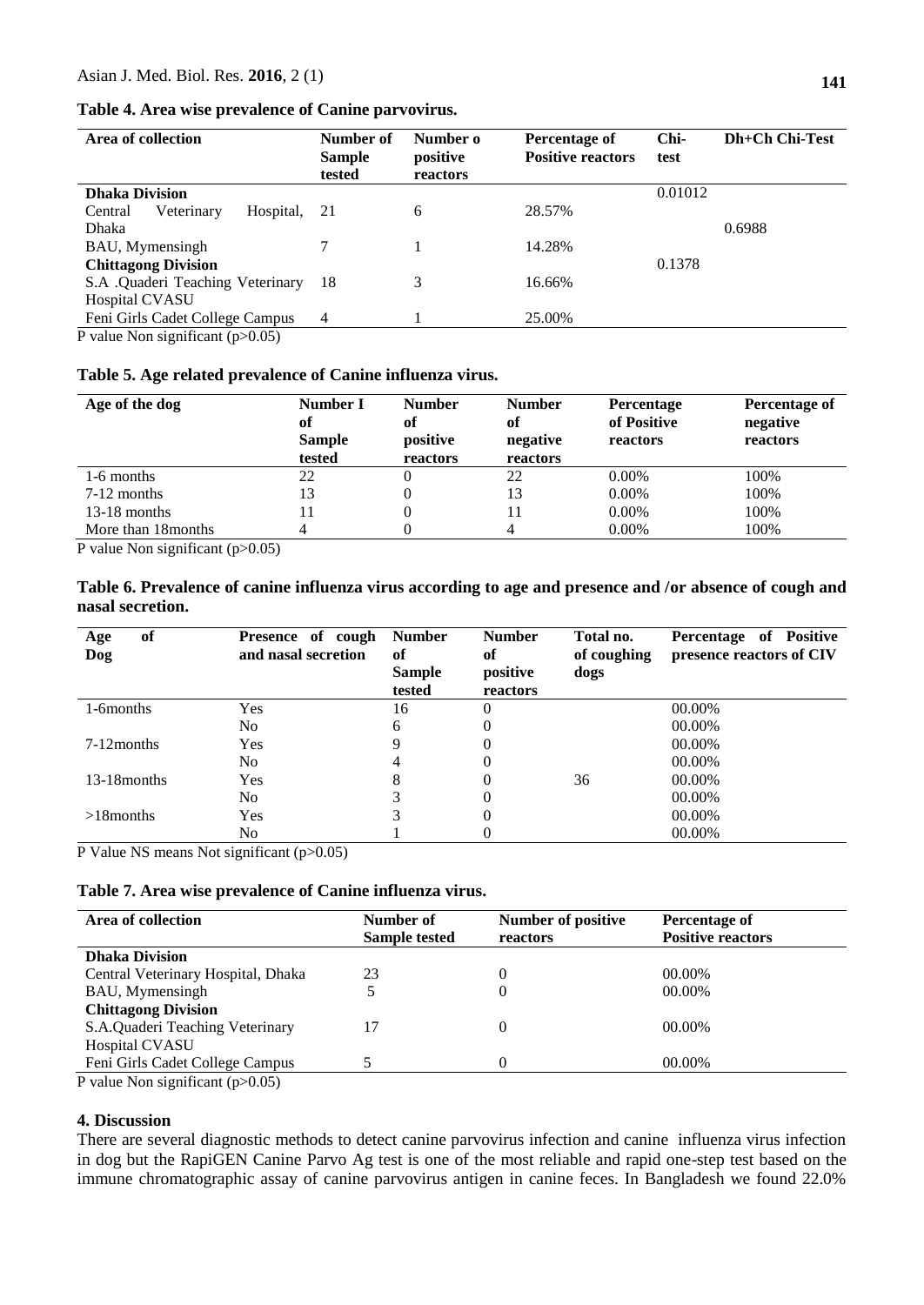#### **Table 4. Area wise prevalence of Canine parvovirus.**

| Area of collection                 | Number of<br><b>Sample</b><br>tested | Number o<br>positive<br>reactors | Percentage of<br><b>Positive reactors</b> | Chi-<br>test | Dh+Ch Chi-Test |
|------------------------------------|--------------------------------------|----------------------------------|-------------------------------------------|--------------|----------------|
| <b>Dhaka Division</b>              |                                      |                                  |                                           | 0.01012      |                |
| Veterinary<br>Hospital,<br>Central | -21                                  | 6                                | 28.57%                                    |              |                |
| Dhaka                              |                                      |                                  |                                           |              | 0.6988         |
| BAU, Mymensingh                    |                                      |                                  | 14.28%                                    |              |                |
| <b>Chittagong Division</b>         |                                      |                                  |                                           | 0.1378       |                |
| S.A .Quaderi Teaching Veterinary   | 18                                   |                                  | 16.66%                                    |              |                |
| Hospital CVASU                     |                                      |                                  |                                           |              |                |
| Feni Girls Cadet College Campus    | 4                                    |                                  | 25.00%                                    |              |                |
| P value Non significant $(p>0.05)$ |                                      |                                  |                                           |              |                |

|  |  |  |  |  |  |  | Table 5. Age related prevalence of Canine influenza virus. |  |  |  |  |  |
|--|--|--|--|--|--|--|------------------------------------------------------------|--|--|--|--|--|
|--|--|--|--|--|--|--|------------------------------------------------------------|--|--|--|--|--|

| Age of the dog      | Number I<br>of<br><b>Sample</b><br>tested | <b>Number</b><br>of<br>positive<br>reactors | <b>Number</b><br>of<br>negative<br>reactors | Percentage<br>of Positive<br>reactors | Percentage of<br>negative<br>reactors |
|---------------------|-------------------------------------------|---------------------------------------------|---------------------------------------------|---------------------------------------|---------------------------------------|
| 1-6 months          | 22                                        |                                             | 22                                          | $0.00\%$                              | 100%                                  |
| $7-12$ months       | 13                                        | 0                                           | 13                                          | $0.00\%$                              | 100%                                  |
| $13-18$ months      | 11                                        |                                             |                                             | $0.00\%$                              | 100%                                  |
| More than 18 months |                                           |                                             |                                             | $0.00\%$                              | 100%                                  |

P value Non significant (p>0.05)

**Table 6. Prevalence of canine influenza virus according to age and presence and /or absence of cough and nasal secretion.**

| of<br>Age<br>Dog | Presence of cough<br>and nasal secretion | <b>Number</b><br>of<br><b>Sample</b><br>tested | <b>Number</b><br>of<br>positive<br>reactors | Total no.<br>of coughing<br>dogs | Percentage of Positive<br>presence reactors of CIV |
|------------------|------------------------------------------|------------------------------------------------|---------------------------------------------|----------------------------------|----------------------------------------------------|
| 1-6months        | Yes                                      | 16                                             | $\theta$                                    |                                  | 00.00%                                             |
|                  | No                                       | 6                                              | $\theta$                                    |                                  | 00.00%                                             |
| $7-12$ months    | Yes                                      |                                                | 0                                           |                                  | 00.00%                                             |
|                  | N <sub>0</sub>                           | 4                                              | $\theta$                                    |                                  | 00.00%                                             |
| 13-18 months     | Yes                                      | 8                                              | 0                                           | 36                               | 00.00%                                             |
|                  | N <sub>0</sub>                           |                                                | $\theta$                                    |                                  | 00.00%                                             |
| $>18$ months     | Yes                                      |                                                | 0                                           |                                  | 00.00%                                             |
|                  | No                                       |                                                |                                             |                                  | 00.00%                                             |

P Value NS means Not significant (p>0.05)

**Table 7. Area wise prevalence of Canine influenza virus.**

| Area of collection                           | Number of<br><b>Sample tested</b> | Number of positive<br>reactors | Percentage of<br><b>Positive reactors</b> |
|----------------------------------------------|-----------------------------------|--------------------------------|-------------------------------------------|
| <b>Dhaka Division</b>                        |                                   |                                |                                           |
| Central Veterinary Hospital, Dhaka           | 23                                |                                | 00.00%                                    |
| BAU, Mymensingh                              | 5                                 |                                | 00.00%                                    |
| <b>Chittagong Division</b>                   |                                   |                                |                                           |
| S.A.Quaderi Teaching Veterinary              | 17                                |                                | $00.00\%$                                 |
| Hospital CVASU                               |                                   |                                |                                           |
| Feni Girls Cadet College Campus              |                                   |                                | 00.00%                                    |
| $D$ value Man significant ( $\approx 0.05$ ) |                                   |                                |                                           |

P value Non significant (p>0.05)

## **4. Discussion**

There are several diagnostic methods to detect canine parvovirus infection and canine influenza virus infection in dog but the RapiGEN Canine Parvo Ag test is one of the most reliable and rapid one-step test based on the immune chromatographic assay of canine parvovirus antigen in canine feces. In Bangladesh we found 22.0%